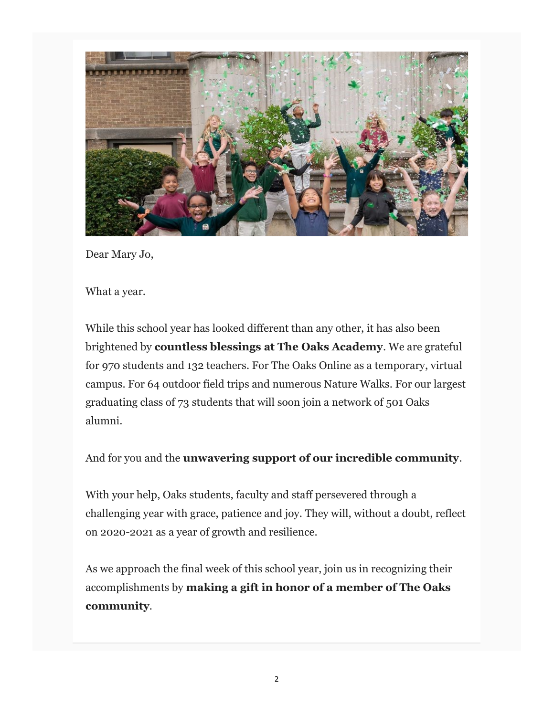

Dear Mary Jo,

What a year.

While this school year has looked different than any other, it has also been brightened by countless blessings at The Oaks Academy. We are grateful for 970 students and 132 teachers. For The Oaks Online as a temporary, virtual campus. For 64 outdoor field trips and numerous Nature Walks. For our largest graduating class of 73 students that will soon join a network of 501 Oaks alumni.

And for you and the unwavering support of our incredible community.

With your help, Oaks students, faculty and staff persevered through a challenging year with grace, patience and joy. They will, without a doubt, reflect on 2020-2021 as a year of growth and resilience.

As we approach the final week of this school year, join us in recognizing their accomplishments by making a gift in honor of a member of The Oaks community.